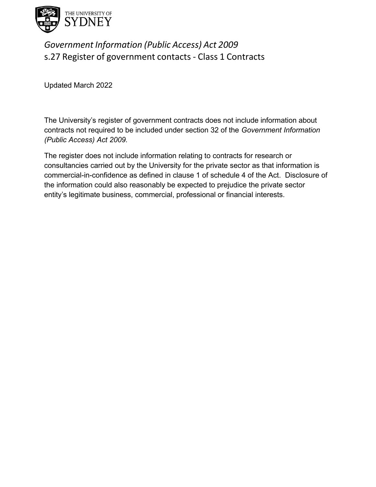

## *Government Information (Public Access) Act 2009* s.27 Register of government contacts - Class 1 Contracts

Updated March 2022

The University's register of government contracts does not include information about contracts not required to be included under section 32 of the *Government Information (Public Access) Act 2009.*

The register does not include information relating to contracts for research or consultancies carried out by the University for the private sector as that information is commercial-in-confidence as defined in clause 1 of schedule 4 of the Act. Disclosure of the information could also reasonably be expected to prejudice the private sector entity's legitimate business, commercial, professional or financial interests.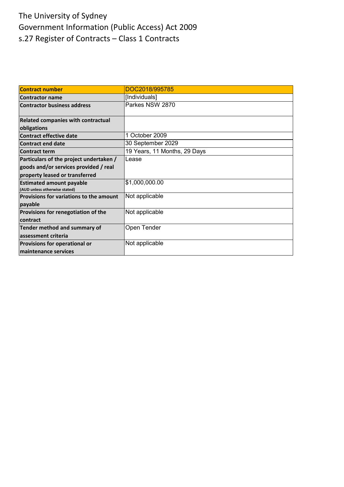| <b>Contract number</b>                                           | DOC2018/995785               |
|------------------------------------------------------------------|------------------------------|
| <b>Contractor name</b>                                           | [Individuals]                |
| <b>Contractor business address</b>                               | Parkes NSW 2870              |
| Related companies with contractual                               |                              |
| obligations                                                      |                              |
| <b>Contract effective date</b>                                   | 1 October 2009               |
| <b>Contract end date</b>                                         | 30 September 2029            |
| <b>Contract term</b>                                             | 19 Years, 11 Months, 29 Days |
| Particulars of the project undertaken /                          | Lease                        |
| goods and/or services provided / real                            |                              |
| property leased or transferred                                   |                              |
| <b>Estimated amount payable</b><br>(AUD unless otherwise stated) | \$1,000,000.00               |
| Provisions for variations to the amount                          | Not applicable               |
| payable                                                          |                              |
| Provisions for renegotiation of the                              | Not applicable               |
| contract                                                         |                              |
| Tender method and summary of                                     | Open Tender                  |
| assessment criteria                                              |                              |
| Provisions for operational or                                    | Not applicable               |
| maintenance services                                             |                              |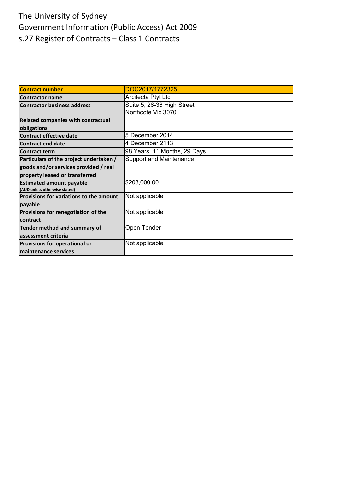| <b>Contract number</b>                  | DOC2017/1772325                |
|-----------------------------------------|--------------------------------|
| <b>Contractor name</b>                  | Arcitecta Ptyt Ltd             |
| <b>Contractor business address</b>      | Suite 5, 26-36 High Street     |
|                                         | Northcote Vic 3070             |
| Related companies with contractual      |                                |
| obligations                             |                                |
| <b>Contract effective date</b>          | 5 December 2014                |
| <b>Contract end date</b>                | 4 December 2113                |
| <b>Contract term</b>                    | 98 Years, 11 Months, 29 Days   |
| Particulars of the project undertaken / | <b>Support and Maintenance</b> |
| goods and/or services provided / real   |                                |
| property leased or transferred          |                                |
| <b>Estimated amount payable</b>         | \$203,000.00                   |
| (AUD unless otherwise stated)           |                                |
| Provisions for variations to the amount | Not applicable                 |
| payable                                 |                                |
| Provisions for renegotiation of the     | Not applicable                 |
| contract                                |                                |
| Tender method and summary of            | Open Tender                    |
| assessment criteria                     |                                |
| Provisions for operational or           | Not applicable                 |
| maintenance services                    |                                |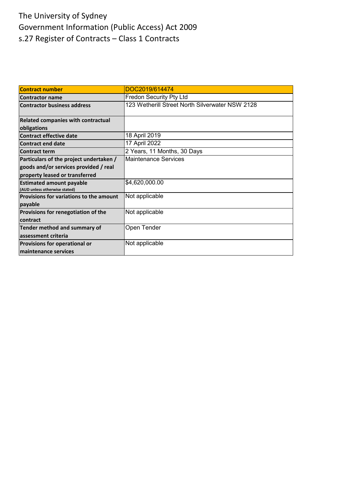| <b>Contract number</b>                                           | DOC2019/614474                                  |
|------------------------------------------------------------------|-------------------------------------------------|
| <b>Contractor name</b>                                           | <b>Fredon Security Pty Ltd</b>                  |
| <b>Contractor business address</b>                               | 123 Wetherill Street North Silverwater NSW 2128 |
| Related companies with contractual                               |                                                 |
| obligations                                                      |                                                 |
| <b>Contract effective date</b>                                   | 18 April 2019                                   |
| <b>Contract end date</b>                                         | 17 April 2022                                   |
| <b>Contract term</b>                                             | 2 Years, 11 Months, 30 Days                     |
| Particulars of the project undertaken /                          | Maintenance Services                            |
| goods and/or services provided / real                            |                                                 |
| property leased or transferred                                   |                                                 |
| <b>Estimated amount payable</b><br>(AUD unless otherwise stated) | \$4,620,000.00                                  |
| Provisions for variations to the amount                          | Not applicable                                  |
| payable                                                          |                                                 |
| Provisions for renegotiation of the                              | Not applicable                                  |
| contract                                                         |                                                 |
| Tender method and summary of                                     | Open Tender                                     |
| assessment criteria                                              |                                                 |
| Provisions for operational or                                    | Not applicable                                  |
| maintenance services                                             |                                                 |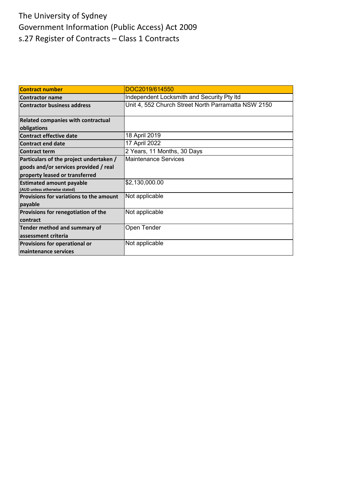| <b>Contract number</b>                                           | DOC2019/614550                                      |
|------------------------------------------------------------------|-----------------------------------------------------|
| <b>Contractor name</b>                                           | Independent Locksmith and Security Pty Itd          |
| <b>Contractor business address</b>                               | Unit 4, 552 Church Street North Parramatta NSW 2150 |
| Related companies with contractual                               |                                                     |
| obligations                                                      |                                                     |
| <b>Contract effective date</b>                                   | 18 April 2019                                       |
| <b>Contract end date</b>                                         | 17 April 2022                                       |
| <b>Contract term</b>                                             | 2 Years, 11 Months, 30 Days                         |
| Particulars of the project undertaken /                          | Maintenance Services                                |
| goods and/or services provided / real                            |                                                     |
| property leased or transferred                                   |                                                     |
| <b>Estimated amount payable</b><br>(AUD unless otherwise stated) | \$2,130,000.00                                      |
| Provisions for variations to the amount                          | Not applicable                                      |
| payable                                                          |                                                     |
| Provisions for renegotiation of the                              | Not applicable                                      |
| contract                                                         |                                                     |
| Tender method and summary of                                     | Open Tender                                         |
| assessment criteria                                              |                                                     |
| Provisions for operational or                                    | Not applicable                                      |
| maintenance services                                             |                                                     |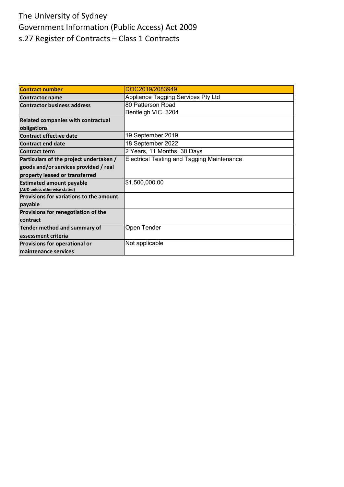| <b>Contract number</b>                  | DOC2019/2083949                                   |
|-----------------------------------------|---------------------------------------------------|
| <b>Contractor name</b>                  | Appliance Tagging Services Pty Ltd                |
| <b>Contractor business address</b>      | 80 Patterson Road                                 |
|                                         | Bentleigh VIC 3204                                |
| Related companies with contractual      |                                                   |
| obligations                             |                                                   |
| <b>Contract effective date</b>          | 19 September 2019                                 |
| <b>Contract end date</b>                | 18 September 2022                                 |
| <b>Contract term</b>                    | 2 Years, 11 Months, 30 Days                       |
| Particulars of the project undertaken / | <b>Electrical Testing and Tagging Maintenance</b> |
| goods and/or services provided / real   |                                                   |
| property leased or transferred          |                                                   |
| <b>Estimated amount payable</b>         | \$1,500,000.00                                    |
| (AUD unless otherwise stated)           |                                                   |
| Provisions for variations to the amount |                                                   |
| payable                                 |                                                   |
| Provisions for renegotiation of the     |                                                   |
| contract                                |                                                   |
| Tender method and summary of            | Open Tender                                       |
| assessment criteria                     |                                                   |
| Provisions for operational or           | Not applicable                                    |
| maintenance services                    |                                                   |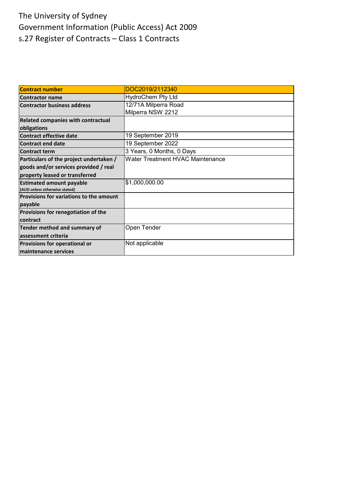| <b>Contract number</b>                    | DOC2019/2112340                  |
|-------------------------------------------|----------------------------------|
| <b>Contractor name</b>                    | <b>HydroChem Pty Ltd</b>         |
| <b>Contractor business address</b>        | 12/71A Milperra Road             |
|                                           | Milperra NSW 2212                |
| <b>Related companies with contractual</b> |                                  |
| obligations                               |                                  |
| <b>Contract effective date</b>            | 19 September 2019                |
| <b>Contract end date</b>                  | 19 September 2022                |
| <b>Contract term</b>                      | 3 Years, 0 Months, 0 Days        |
| Particulars of the project undertaken /   | Water Treatment HVAC Maintenance |
| goods and/or services provided / real     |                                  |
| property leased or transferred            |                                  |
| <b>Estimated amount payable</b>           | \$1,000,000.00                   |
| (AUD unless otherwise stated)             |                                  |
| Provisions for variations to the amount   |                                  |
| payable                                   |                                  |
| Provisions for renegotiation of the       |                                  |
| contract                                  |                                  |
| Tender method and summary of              | Open Tender                      |
| assessment criteria                       |                                  |
| Provisions for operational or             | Not applicable                   |
| maintenance services                      |                                  |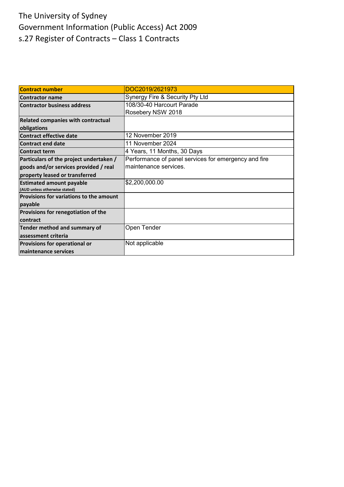| <b>Contract number</b>                    | DOC2019/2621973                                      |
|-------------------------------------------|------------------------------------------------------|
| <b>Contractor name</b>                    | Synergy Fire & Security Pty Ltd                      |
| <b>Contractor business address</b>        | 108/30-40 Harcourt Parade                            |
|                                           | Rosebery NSW 2018                                    |
| <b>Related companies with contractual</b> |                                                      |
| obligations                               |                                                      |
| <b>Contract effective date</b>            | 12 November 2019                                     |
| <b>Contract end date</b>                  | 11 November 2024                                     |
| <b>Contract term</b>                      | 4 Years, 11 Months, 30 Days                          |
| Particulars of the project undertaken /   | Performance of panel services for emergency and fire |
| goods and/or services provided / real     | maintenance services.                                |
| property leased or transferred            |                                                      |
| <b>Estimated amount payable</b>           | \$2,200,000.00                                       |
| (AUD unless otherwise stated)             |                                                      |
| Provisions for variations to the amount   |                                                      |
| payable                                   |                                                      |
| Provisions for renegotiation of the       |                                                      |
| contract                                  |                                                      |
| Tender method and summary of              | Open Tender                                          |
| assessment criteria                       |                                                      |
| <b>Provisions for operational or</b>      | Not applicable                                       |
| maintenance services                      |                                                      |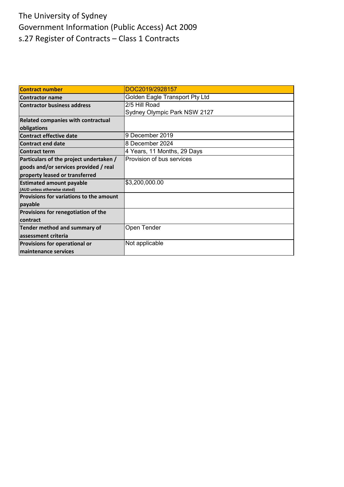| <b>Contract number</b>                  | DOC2019/2928157                |
|-----------------------------------------|--------------------------------|
| <b>Contractor name</b>                  | Golden Eagle Transport Pty Ltd |
| <b>Contractor business address</b>      | 2/5 Hill Road                  |
|                                         | Sydney Olympic Park NSW 2127   |
| Related companies with contractual      |                                |
| obligations                             |                                |
| <b>Contract effective date</b>          | 9 December 2019                |
| <b>Contract end date</b>                | 8 December 2024                |
| <b>Contract term</b>                    | 4 Years, 11 Months, 29 Days    |
| Particulars of the project undertaken / | Provision of bus services      |
| goods and/or services provided / real   |                                |
| property leased or transferred          |                                |
| <b>Estimated amount payable</b>         | \$3,200,000.00                 |
| (AUD unless otherwise stated)           |                                |
| Provisions for variations to the amount |                                |
| payable                                 |                                |
| Provisions for renegotiation of the     |                                |
| contract                                |                                |
| Tender method and summary of            | Open Tender                    |
| assessment criteria                     |                                |
| Provisions for operational or           | Not applicable                 |
| maintenance services                    |                                |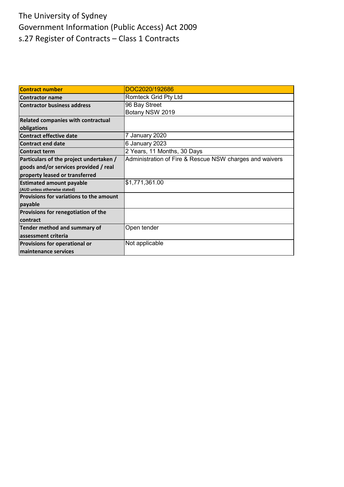| <b>Contract number</b>                    | DOC2020/192686                                          |
|-------------------------------------------|---------------------------------------------------------|
| <b>Contractor name</b>                    | <b>Romteck Grid Pty Ltd</b>                             |
| <b>Contractor business address</b>        | 96 Bay Street                                           |
|                                           | Botany NSW 2019                                         |
| <b>Related companies with contractual</b> |                                                         |
| obligations                               |                                                         |
| <b>Contract effective date</b>            | 7 January 2020                                          |
| <b>Contract end date</b>                  | 6 January 2023                                          |
| <b>Contract term</b>                      | 2 Years, 11 Months, 30 Days                             |
| Particulars of the project undertaken /   | Administration of Fire & Rescue NSW charges and waivers |
| goods and/or services provided / real     |                                                         |
| property leased or transferred            |                                                         |
| <b>Estimated amount payable</b>           | \$1,771,361.00                                          |
| (AUD unless otherwise stated)             |                                                         |
| Provisions for variations to the amount   |                                                         |
| payable                                   |                                                         |
| Provisions for renegotiation of the       |                                                         |
| contract                                  |                                                         |
| Tender method and summary of              | Open tender                                             |
| assessment criteria                       |                                                         |
| <b>Provisions for operational or</b>      | Not applicable                                          |
| maintenance services                      |                                                         |